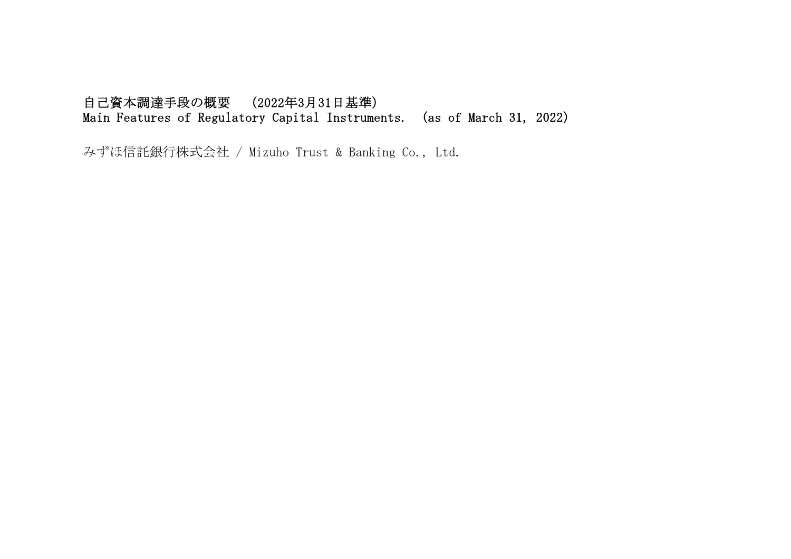## 自己資本調達手段の概要 (2022年3月31日基準) Main Features of Regulatory Capital Instruments. (as of March 31, 2022)

みずほ信託銀行株式会社 / Mizuho Trust & Banking Co., Ltd.